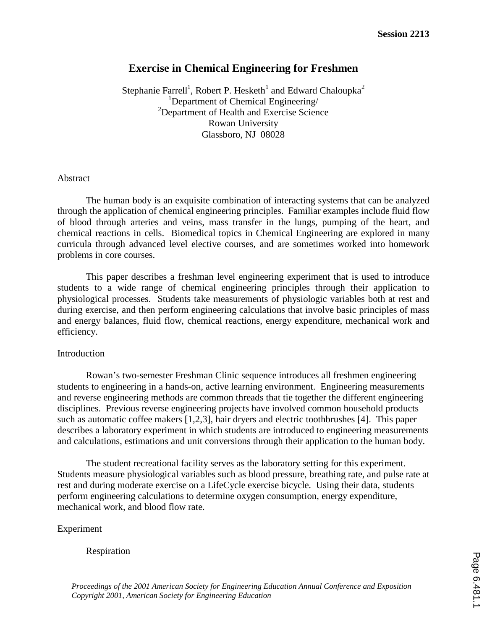# **Exercise in Chemical Engineering for Freshmen**

Stephanie Farrell<sup>1</sup>, Robert P. Hesketh<sup>1</sup> and Edward Chaloupka<sup>2</sup> <sup>1</sup>Department of Chemical Engineering/ <sup>2</sup>Department of Health and Exercise Science Rowan University Glassboro, NJ 08028

## Abstract

The human body is an exquisite combination of interacting systems that can be analyzed through the application of chemical engineering principles. Familiar examples include fluid flow of blood through arteries and veins, mass transfer in the lungs, pumping of the heart, and chemical reactions in cells. Biomedical topics in Chemical Engineering are explored in many curricula through advanced level elective courses, and are sometimes worked into homework problems in core courses.

This paper describes a freshman level engineering experiment that is used to introduce students to a wide range of chemical engineering principles through their application to physiological processes. Students take measurements of physiologic variables both at rest and during exercise, and then perform engineering calculations that involve basic principles of mass and energy balances, fluid flow, chemical reactions, energy expenditure, mechanical work and efficiency.

### Introduction

Rowan's two-semester Freshman Clinic sequence introduces all freshmen engineering students to engineering in a hands-on, active learning environment. Engineering measurements and reverse engineering methods are common threads that tie together the different engineering disciplines. Previous reverse engineering projects have involved common household products such as automatic coffee makers [1,2,3], hair dryers and electric toothbrushes [4]. This paper describes a laboratory experiment in which students are introduced to engineering measurements and calculations, estimations and unit conversions through their application to the human body.

The student recreational facility serves as the laboratory setting for this experiment. Students measure physiological variables such as blood pressure, breathing rate, and pulse rate at rest and during moderate exercise on a LifeCycle exercise bicycle. Using their data, students perform engineering calculations to determine oxygen consumption, energy expenditure, mechanical work, and blood flow rate.

## Experiment

Respiration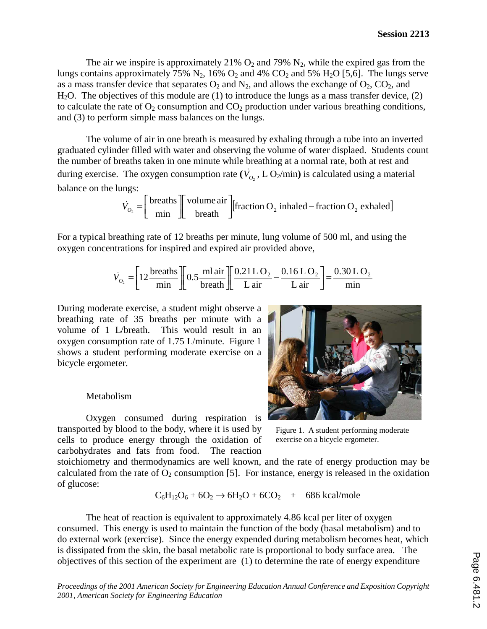The air we inspire is approximately 21%  $O_2$  and 79%  $N_2$ , while the expired gas from the lungs contains approximately 75%  $N_2$ , 16%  $O_2$  and 4%  $CO_2$  and 5%  $H_2O$  [5,6]. The lungs serve as a mass transfer device that separates  $O_2$  and  $N_2$ , and allows the exchange of  $O_2$ ,  $CO_2$ , and  $H<sub>2</sub>O$ . The objectives of this module are (1) to introduce the lungs as a mass transfer device, (2) to calculate the rate of  $O_2$  consumption and  $CO_2$  production under various breathing conditions, and (3) to perform simple mass balances on the lungs.

The volume of air in one breath is measured by exhaling through a tube into an inverted graduated cylinder filled with water and observing the volume of water displaed. Students count the number of breaths taken in one minute while breathing at a normal rate, both at rest and The volume of air in one breath is measured by exhaling through a tube into an inverte<br>graduated cylinder filled with water and observing the volume of water displaed. Students con<br>the number of breaths taken in one minut balance on the lungs: er illed<br>eaths ta<br>The ox<br>
lings:<br>  $\dot{V}_{O_2} = \begin{bmatrix} \n\end{bmatrix}$ 

$$
\dot{V}_{O_2} = \left[\frac{\text{breaths}}{\text{min}}\right] \left[\frac{\text{volume air}}{\text{breath}}\right] \left[\text{fraction O}_2 \text{ inhaled} - \text{fraction O}_2 \text{ exhaled}\right]
$$

For a typical breathing rate of 12 breaths per minute, lung volume of 500 ml, and using the oxygen concentrations for inspired and expired air provided above, reathin<br>tration<br> $V_{Q_2} = \begin{bmatrix} 1 & 0 \\ 0 & -1 \end{bmatrix}$ 

$$
\dot{V}_{O_2} = \left[12 \frac{\text{breaths}}{\text{min}}\right] \left[0.5 \frac{\text{ml air}}{\text{breath}}\right] \left[\frac{0.21 \text{L O}_2}{\text{L air}} - \frac{0.16 \text{L O}_2}{\text{L air}}\right] = \frac{0.30 \text{L O}_2}{\text{min}}
$$

During moderate exercise, a student might observe a breathing rate of 35 breaths per minute with a volume of 1 L/breath. This would result in an oxygen consumption rate of 1.75 L/minute. Figure 1 shows a student performing moderate exercise on a bicycle ergometer.

### Metabolism

Oxygen consumed during respiration is transported by blood to the body, where it is used by cells to produce energy through the oxidation of carbohydrates and fats from food. The reaction



Figure 1. A student performing moderate exercise on a bicycle ergometer.

stoichiometry and thermodynamics are well known, and the rate of energy production may be calculated from the rate of  $O_2$  consumption [5]. For instance, energy is released in the oxidation of glucose:

$$
C_6H_{12}O_6 + 6O_2 \rightarrow 6H_2O + 6CO_2 + 686 \text{ kcal/mole}
$$

The heat of reaction is equivalent to approximately 4.86 kcal per liter of oxygen consumed. This energy is used to maintain the function of the body (basal metabolism) and to do external work (exercise). Since the energy expended during metabolism becomes heat, which is dissipated from the skin, the basal metabolic rate is proportional to body surface area. The objectives of this section of the experiment are (1) to determine the rate of energy expenditure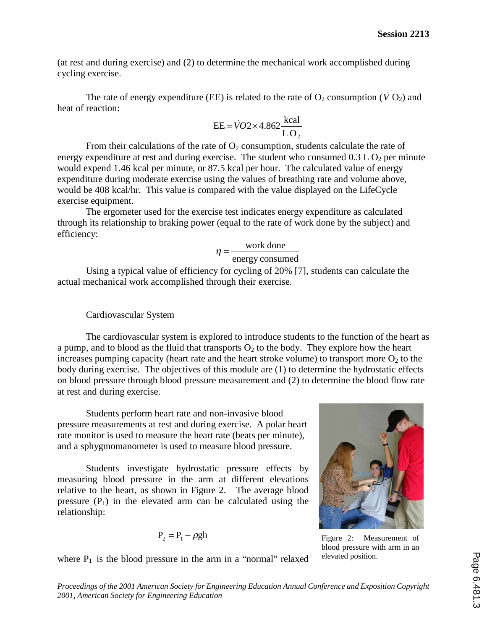(at rest and during exercise) and (2) to determine the mechanical work accomplished during cycling exercise. and during exercise) and (2) to determine the mechanical work accomplished during exercise.<br>The rate of energy expenditure (EE) is related to the rate of  $O_2$  consumption ( $\dot{V}O_2$ ) and

heat of reaction: EE) is related to the rate<br>EE =  $\overline{V}O2\times4.862\frac{\text{kcal}}{100}$ 

$$
EE = \dot{V}O2 \times 4.862 \frac{\text{kcal}}{\text{LO}_2}
$$

From their calculations of the rate of  $O<sub>2</sub>$  consumption, students calculate the rate of energy expenditure at rest and during exercise. The student who consumed  $0.3 L O<sub>2</sub>$  per minute would expend 1.46 kcal per minute, or 87.5 kcal per hour. The calculated value of energy expenditure during moderate exercise using the values of breathing rate and volume above, would be 408 kcal/hr. This value is compared with the value displayed on the LifeCycle exercise equipment.

The ergometer used for the exercise test indicates energy expenditure as calculated through its relationship to braking power (equal to the rate of work done by the subject) and efficiency:

$$
\eta = \frac{\text{work done}}{\text{energy consumed}}
$$

Using a typical value of efficiency for cycling of 20% [7], students can calculate the actual mechanical work accomplished through their exercise.

#### Cardiovascular System

The cardiovascular system is explored to introduce students to the function of the heart as a pump, and to blood as the fluid that transports  $O_2$  to the body. They explore how the heart increases pumping capacity (heart rate and the heart stroke volume) to transport more  $O<sub>2</sub>$  to the body during exercise. The objectives of this module are (1) to determine the hydrostatic effects on blood pressure through blood pressure measurement and (2) to determine the blood flow rate at rest and during exercise.

Students perform heart rate and non-invasive blood pressure measurements at rest and during exercise. A polar heart rate monitor is used to measure the heart rate (beats per minute), and a sphygmomanometer is used to measure blood pressure.

Students investigate hydrostatic pressure effects by measuring blood pressure in the arm at different elevations relative to the heart, as shown in Figure 2. The average blood pressure  $(P_1)$  in the elevated arm can be calculated using the relationship:

$$
P_2 = P_1 - \rho g h
$$



Figure 2: Measurement of blood pressure with arm in an elevated position.

where  $P_1$  is the blood pressure in the arm in a "normal" relaxed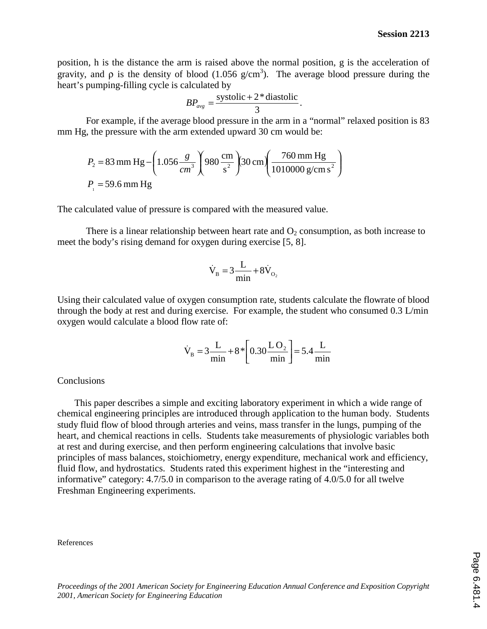position, h is the distance the arm is raised above the normal position, g is the acceleration of gravity, and  $\rho$  is the density of blood (1.056 g/cm<sup>3</sup>). The average blood pressure during the heart's pumping-filling cycle is calculated by

$$
BP_{avg} = \frac{\text{systolic} + 2 \cdot \text{diastolic}}{3}.
$$

For example, if the average blood pressure in the arm in a "normal" relaxed position is 83 mm Hg, the pressure with the arm extended upward 30 cm would be:

$$
P_2 = 83 \text{ mm Hg} - \left(1.056 \frac{g}{cm^3}\right) 980 \frac{\text{cm}}{\text{s}^2} \left(30 \text{ cm} \left(\frac{760 \text{ mm Hg}}{1010000 \text{ g/cm s}^2}\right)\right)
$$
  

$$
P_1 = 59.6 \text{ mm Hg}
$$

The calculated value of pressure is compared with the measured value.

There is a linear relationship between heart rate and  $O_2$  consumption, as both increase to meet the body's rising demand for oxygen during exercise [5, 8]. ween heart rate<br>
gen during exerc<br>  $V_B = 3 \frac{L}{A} + 8V$ 

$$
\dot{V}_B = 3\frac{L}{min} + 8\dot{V}_{O_2}
$$

Using their calculated value of oxygen consumption rate, students calculate the flowrate of blood through the body at rest and during exercise. For example, the student who consumed 0.3 L/min oxygen would calculate a blood flow rate of: Express consumption<br>low rate of:<br> $\vec{v}$  = 2 L<sub>18</sub><sup>\*</sup>

$$
\dot{V}_{B} = 3 \frac{L}{min} + 8 \times \left[ 0.30 \frac{L O_{2}}{min} \right] = 5.4 \frac{L}{min}
$$

**Conclusions** 

 This paper describes a simple and exciting laboratory experiment in which a wide range of chemical engineering principles are introduced through application to the human body. Students study fluid flow of blood through arteries and veins, mass transfer in the lungs, pumping of the heart, and chemical reactions in cells. Students take measurements of physiologic variables both at rest and during exercise, and then perform engineering calculations that involve basic principles of mass balances, stoichiometry, energy expenditure, mechanical work and efficiency, fluid flow, and hydrostatics. Students rated this experiment highest in the "interesting and informative" category: 4.7/5.0 in comparison to the average rating of 4.0/5.0 for all twelve Freshman Engineering experiments.

#### References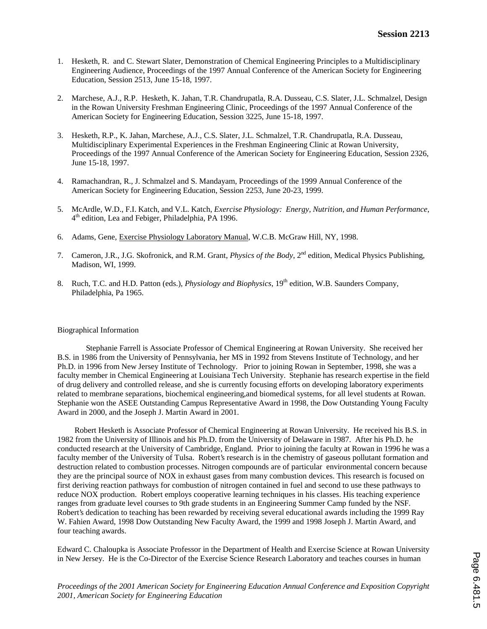- 1. Hesketh, R. and C. Stewart Slater, Demonstration of Chemical Engineering Principles to a Multidisciplinary Engineering Audience, Proceedings of the 1997 Annual Conference of the American Society for Engineering Education, Session 2513, June 15-18, 1997.
- 2. Marchese, A.J., R.P. Hesketh, K. Jahan, T.R. Chandrupatla, R.A. Dusseau, C.S. Slater, J.L. Schmalzel, Design in the Rowan University Freshman Engineering Clinic, Proceedings of the 1997 Annual Conference of the American Society for Engineering Education, Session 3225, June 15-18, 1997.
- 3. Hesketh, R.P., K. Jahan, Marchese, A.J., C.S. Slater, J.L. Schmalzel, T.R. Chandrupatla, R.A. Dusseau, Multidisciplinary Experimental Experiences in the Freshman Engineering Clinic at Rowan University, Proceedings of the 1997 Annual Conference of the American Society for Engineering Education, Session 2326, June 15-18, 1997.
- 4. Ramachandran, R., J. Schmalzel and S. Mandayam, Proceedings of the 1999 Annual Conference of the American Society for Engineering Education, Session 2253, June 20-23, 1999.
- 5. McArdle, W.D., F.I. Katch, and V.L. Katch, *Exercise Physiology: Energy, Nutrition, and Human Performance*,  $4<sup>th</sup>$  edition, Lea and Febiger, Philadelphia, PA 1996.
- 6. Adams, Gene, Exercise Physiology Laboratory Manual, W.C.B. McGraw Hill, NY, 1998.
- 7. Cameron, J.R., J.G. Skofronick, and R.M. Grant, *Physics of the Body*, 2<sup>nd</sup> edition, Medical Physics Publishing, Madison, WI, 1999.
- 8. Ruch, T.C. and H.D. Patton (eds.), *Physiology and Biophysics*, 19th edition, W.B. Saunders Company, Philadelphia, Pa 1965.

#### Biographical Information

Stephanie Farrell is Associate Professor of Chemical Engineering at Rowan University. She received her B.S. in 1986 from the University of Pennsylvania, her MS in 1992 from Stevens Institute of Technology, and her Ph.D. in 1996 from New Jersey Institute of Technology. Prior to joining Rowan in September, 1998, she was a faculty member in Chemical Engineering at Louisiana Tech University. Stephanie has research expertise in the field of drug delivery and controlled release, and she is currently focusing efforts on developing laboratory experiments related to membrane separations, biochemical engineering,and biomedical systems, for all level students at Rowan. Stephanie won the ASEE Outstanding Campus Representative Award in 1998, the Dow Outstanding Young Faculty Award in 2000, and the Joseph J. Martin Award in 2001.

Robert Hesketh is Associate Professor of Chemical Engineering at Rowan University. He received his B.S. in 1982 from the University of Illinois and his Ph.D. from the University of Delaware in 1987. After his Ph.D. he conducted research at the University of Cambridge, England. Prior to joining the faculty at Rowan in 1996 he was a faculty member of the University of Tulsa. Robert's research is in the chemistry of gaseous pollutant formation and destruction related to combustion processes. Nitrogen compounds are of particular environmental concern because they are the principal source of NOX in exhaust gases from many combustion devices. This research is focused on first deriving reaction pathways for combustion of nitrogen contained in fuel and second to use these pathways to reduce NOX production. Robert employs cooperative learning techniques in his classes. His teaching experience ranges from graduate level courses to 9th grade students in an Engineering Summer Camp funded by the NSF. Robert's dedication to teaching has been rewarded by receiving several educational awards including the 1999 Ray W. Fahien Award, 1998 Dow Outstanding New Faculty Award, the 1999 and 1998 Joseph J. Martin Award, and four teaching awards.

Edward C. Chaloupka is Associate Professor in the Department of Health and Exercise Science at Rowan University in New Jersey. He is the Co-Director of the Exercise Science Research Laboratory and teaches courses in human